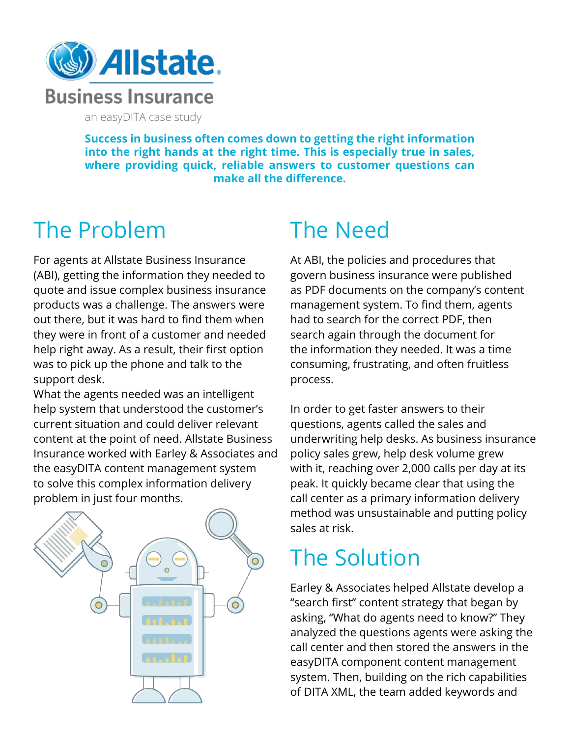

an easyDITA case study

**Success in business often comes down to getting the right information into the right hands at the right time. This is especially true in sales, where providing quick, reliable answers to customer questions can make all the difference.** 

## The Problem

For agents at Allstate Business Insurance (ABI), getting the information they needed to quote and issue complex business insurance products was a challenge. The answers were out there, but it was hard to find them when they were in front of a customer and needed help right away. As a result, their first option was to pick up the phone and talk to the support desk.

What the agents needed was an intelligent help system that understood the customer's current situation and could deliver relevant content at the point of need. Allstate Business Insurance worked with Earley & Associates and the easyDITA content management system to solve this complex information delivery problem in just four months.



## The Need

At ABI, the policies and procedures that govern business insurance were published as PDF documents on the company's content management system. To find them, agents had to search for the correct PDF, then search again through the document for the information they needed. It was a time consuming, frustrating, and often fruitless process.

In order to get faster answers to their questions, agents called the sales and underwriting help desks. As business insurance policy sales grew, help desk volume grew with it, reaching over 2,000 calls per day at its peak. It quickly became clear that using the call center as a primary information delivery method was unsustainable and putting policy sales at risk.

## The Solution

Earley & Associates helped Allstate develop a "search first" content strategy that began by asking, "What do agents need to know?" They analyzed the questions agents were asking the call center and then stored the answers in the easyDITA component content management system. Then, building on the rich capabilities of DITA XML, the team added keywords and